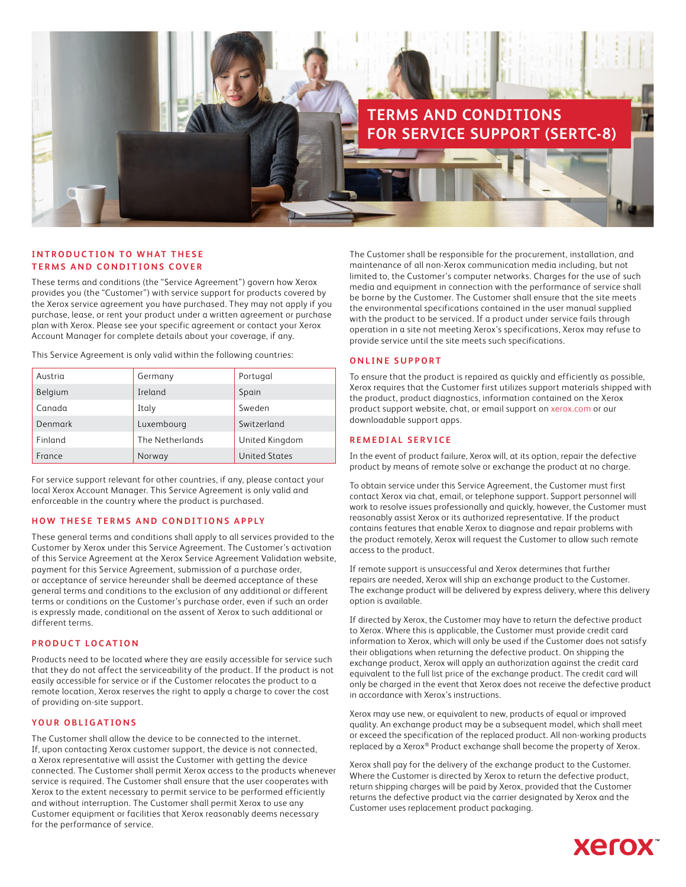

## **INTRODUCTION TO WHAT THESE TERMS AND CONDITIONS COVER**

These terms and conditions (the "Service Agreement") govern how Xerox provides you (the "Customer") with service support for products covered by the Xerox service agreement you have purchased. They may not apply if you purchase, lease, or rent your product under a written agreement or purchase plan with Xerox. Please see your specific agreement or contact your Xerox Account Manager for complete details about your coverage, if any.

This Service Agreement is only valid within the following countries:

| Austria | Germany         | Portugal             |
|---------|-----------------|----------------------|
| Belgium | Ireland         | Spain                |
| Canada  | Italy           | Sweden               |
| Denmark | Luxembourg      | Switzerland          |
| Finland | The Netherlands | United Kingdom       |
| France  | Norway          | <b>United States</b> |

For service support relevant for other countries, if any, please contact your local Xerox Account Manager. This Service Agreement is only valid and enforceable in the country where the product is purchased.

## **HOW THESE TERMS AND CONDITIONS APPLY**

These general terms and conditions shall apply to all services provided to the Customer by Xerox under this Service Agreement. The Customer's activation of this Service Agreement at the Xerox Service Agreement Validation website, payment for this Service Agreement, submission of a purchase order, or acceptance of service hereunder shall be deemed acceptance of these general terms and conditions to the exclusion of any additional or different terms or conditions on the Customer's purchase order, even if such an order is expressly made, conditional on the assent of Xerox to such additional or different terms.

## **PRODUCT LOCATION**

Products need to be located where they are easily accessible for service such that they do not affect the serviceability of the product. If the product is not easily accessible for service or if the Customer relocates the product to a remote location, Xerox reserves the right to apply a charge to cover the cost of providing on-site support.

# **YOUR OBLIGATIONS**

The Customer shall allow the device to be connected to the internet. If, upon contacting Xerox customer support, the device is not connected, a Xerox representative will assist the Customer with getting the device connected. The Customer shall permit Xerox access to the products whenever service is required. The Customer shall ensure that the user cooperates with Xerox to the extent necessary to permit service to be performed efficiently and without interruption. The Customer shall permit Xerox to use any Customer equipment or facilities that Xerox reasonably deems necessary for the performance of service.

The Customer shall be responsible for the procurement, installation, and maintenance of all non-Xerox communication media including, but not limited to, the Customer's computer networks. Charges for the use of such media and equipment in connection with the performance of service shall be borne by the Customer. The Customer shall ensure that the site meets the environmental specifications contained in the user manual supplied with the product to be serviced. If a product under service fails through operation in a site not meeting Xerox's specifications, Xerox may refuse to provide service until the site meets such specifications.

### **ONLINE SUPPORT**

To ensure that the product is repaired as quickly and efficiently as possible, Xerox requires that the Customer first utilizes support materials shipped with the product, product diagnostics, information contained on the Xerox product support website, chat, or email support on [xerox.com](www.xerox.com) or our downloadable support apps.

### **REMEDIAL SERVICE**

In the event of product failure, Xerox will, at its option, repair the defective product by means of remote solve or exchange the product at no charge.

To obtain service under this Service Agreement, the Customer must first contact Xerox via chat, email, or telephone support. Support personnel will work to resolve issues professionally and quickly, however, the Customer must reasonably assist Xerox or its authorized representative. If the product contains features that enable Xerox to diagnose and repair problems with the product remotely, Xerox will request the Customer to allow such remote access to the product.

If remote support is unsuccessful and Xerox determines that further repairs are needed, Xerox will ship an exchange product to the Customer. The exchange product will be delivered by express delivery, where this delivery option is available.

If directed by Xerox, the Customer may have to return the defective product to Xerox. Where this is applicable, the Customer must provide credit card information to Xerox, which will only be used if the Customer does not satisfy their obligations when returning the defective product. On shipping the exchange product, Xerox will apply an authorization against the credit card equivalent to the full list price of the exchange product. The credit card will only be charged in the event that Xerox does not receive the defective product in accordance with Xerox's instructions.

Xerox may use new, or equivalent to new, products of equal or improved quality. An exchange product may be a subsequent model, which shall meet or exceed the specification of the replaced product. All non-working products replaced by a Xerox® Product exchange shall become the property of Xerox.

Xerox shall pay for the delivery of the exchange product to the Customer. Where the Customer is directed by Xerox to return the defective product, return shipping charges will be paid by Xerox, provided that the Customer returns the defective product via the carrier designated by Xerox and the Customer uses replacement product packaging.

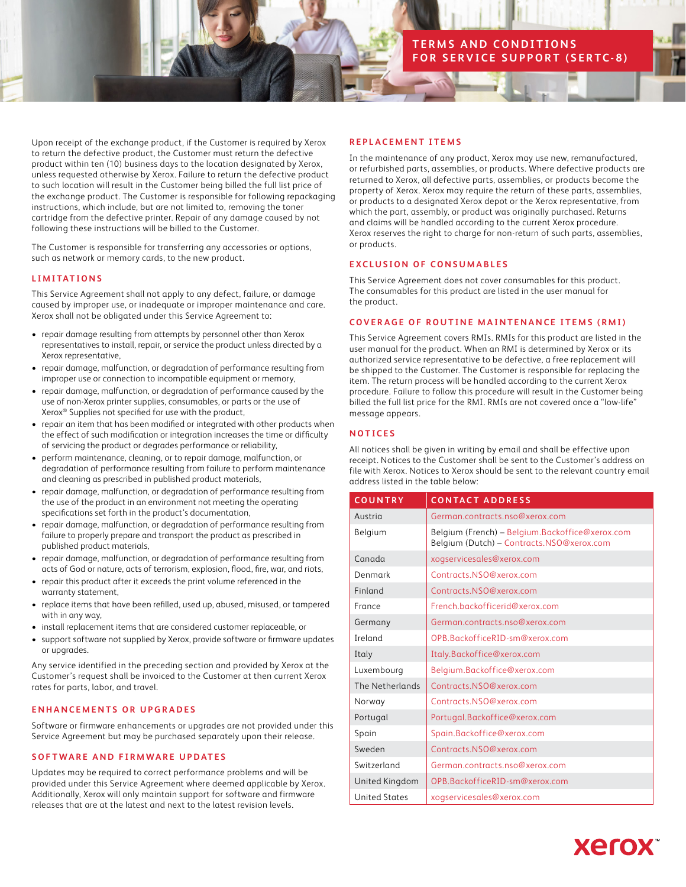# **TERMS AND CONDITIONS FOR SERVICE SUPPORT (SERTC-8)**

Upon receipt of the exchange product, if the Customer is required by Xerox to return the defective product, the Customer must return the defective product within ten (10) business days to the location designated by Xerox, unless requested otherwise by Xerox. Failure to return the defective product to such location will result in the Customer being billed the full list price of the exchange product. The Customer is responsible for following repackaging instructions, which include, but are not limited to, removing the toner cartridge from the defective printer. Repair of any damage caused by not following these instructions will be billed to the Customer.

The Customer is responsible for transferring any accessories or options, such as network or memory cards, to the new product.

## **LIMITATIONS**

This Service Agreement shall not apply to any defect, failure, or damage caused by improper use, or inadequate or improper maintenance and care. Xerox shall not be obligated under this Service Agreement to:

- repair damage resulting from attempts by personnel other than Xerox representatives to install, repair, or service the product unless directed by a Xerox representative,
- repair damage, malfunction, or degradation of performance resulting from improper use or connection to incompatible equipment or memory,
- repair damage, malfunction, or degradation of performance caused by the use of non-Xerox printer supplies, consumables, or parts or the use of Xerox® Supplies not specified for use with the product,
- repair an item that has been modified or integrated with other products when the effect of such modification or integration increases the time or difficulty of servicing the product or degrades performance or reliability,
- perform maintenance, cleaning, or to repair damage, malfunction, or degradation of performance resulting from failure to perform maintenance and cleaning as prescribed in published product materials,
- repair damage, malfunction, or degradation of performance resulting from the use of the product in an environment not meeting the operating specifications set forth in the product's documentation,
- repair damage, malfunction, or degradation of performance resulting from failure to properly prepare and transport the product as prescribed in published product materials,
- repair damage, malfunction, or degradation of performance resulting from acts of God or nature, acts of terrorism, explosion, flood, fire, war, and riots,
- repair this product after it exceeds the print volume referenced in the warranty statement,
- replace items that have been refilled, used up, abused, misused, or tampered with in any way,
- install replacement items that are considered customer replaceable, or
- support software not supplied by Xerox, provide software or firmware updates or upgrades.

Any service identified in the preceding section and provided by Xerox at the Customer's request shall be invoiced to the Customer at then current Xerox rates for parts, labor, and travel.

## **ENHANCEMENTS OR UPGRADES**

Software or firmware enhancements or upgrades are not provided under this Service Agreement but may be purchased separately upon their release.

## **SOFTWARE AND FIRMWARE UPDATES**

Updates may be required to correct performance problems and will be provided under this Service Agreement where deemed applicable by Xerox. Additionally, Xerox will only maintain support for software and firmware releases that are at the latest and next to the latest revision levels.

### **REPLACEMENT ITEMS**

In the maintenance of any product, Xerox may use new, remanufactured, or refurbished parts, assemblies, or products. Where defective products are returned to Xerox, all defective parts, assemblies, or products become the property of Xerox. Xerox may require the return of these parts, assemblies, or products to a designated Xerox depot or the Xerox representative, from which the part, assembly, or product was originally purchased. Returns and claims will be handled according to the current Xerox procedure. Xerox reserves the right to charge for non-return of such parts, assemblies, or products.

# **EXCLUSION OF CONSUMABLES**

This Service Agreement does not cover consumables for this product. The consumables for this product are listed in the user manual for the product.

## **COVERAGE OF ROUTINE MAINTENANCE ITEMS (RMI)**

This Service Agreement covers RMIs. RMIs for this product are listed in the user manual for the product. When an RMI is determined by Xerox or its authorized service representative to be defective, a free replacement will be shipped to the Customer. The Customer is responsible for replacing the item. The return process will be handled according to the current Xerox procedure. Failure to follow this procedure will result in the Customer being billed the full list price for the RMI. RMIs are not covered once a "low-life" message appears.

## **NOTICES**

All notices shall be given in writing by email and shall be effective upon receipt. Notices to the Customer shall be sent to the Customer's address on file with Xerox. Notices to Xerox should be sent to the relevant country email address listed in the table below:

| <b>COUNTRY</b>       | <b>CONTACT ADDRESS</b>                                                                       |
|----------------------|----------------------------------------------------------------------------------------------|
| Austria              | German.contracts.nso@xerox.com                                                               |
| Belgium              | Belgium (French) - Belgium.Backoffice@xerox.com<br>Belgium (Dutch) - Contracts.NSO@xerox.com |
| Canada               | xogservicesales@xerox.com                                                                    |
| Denmark              | Contracts.NSO@xerox.com                                                                      |
| Finland              | Contracts.NSO@xerox.com                                                                      |
| France               | French.backofficerid@xerox.com                                                               |
| Germany              | German.contracts.nso@xerox.com                                                               |
| Ireland              | OPB.BackofficeRID-sm@xerox.com                                                               |
| Italy                | Italy.Backoffice@xerox.com                                                                   |
| Luxembourg           | Belgium.Backoffice@xerox.com                                                                 |
| The Netherlands      | Contracts.NSO@xerox.com                                                                      |
| Norway               | Contracts.NSO@xerox.com                                                                      |
| Portugal             | Portugal.Backoffice@xerox.com                                                                |
| Spain                | Spain.Backoffice@xerox.com                                                                   |
| Sweden               | Contracts.NSO@xerox.com                                                                      |
| Switzerland          | German.contracts.nso@xerox.com                                                               |
| United Kingdom       | OPB.BackofficeRID-sm@xerox.com                                                               |
| <b>United States</b> | xogservicesales@xerox.com                                                                    |